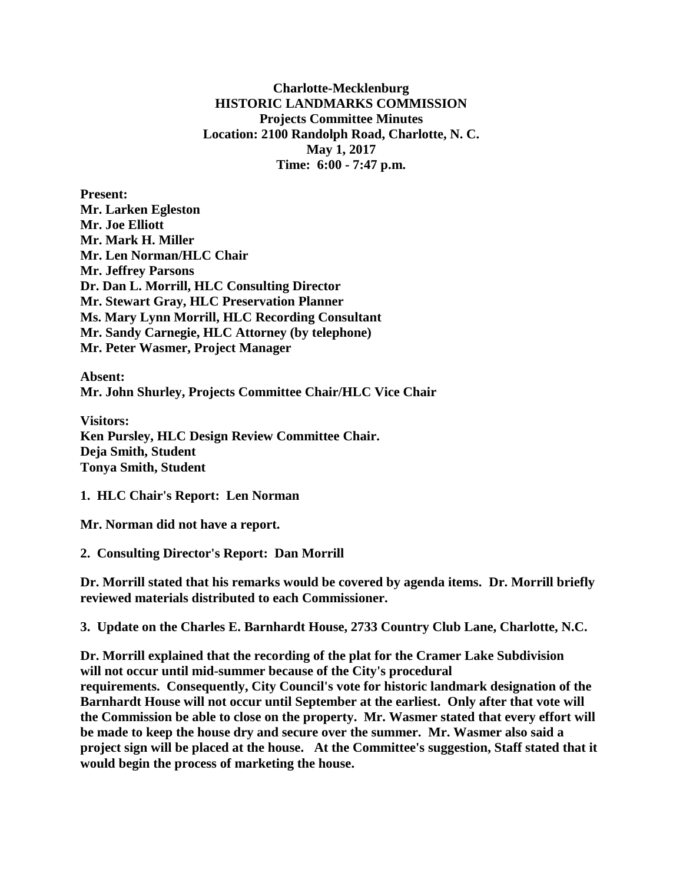**Charlotte-Mecklenburg HISTORIC LANDMARKS COMMISSION Projects Committee Minutes Location: 2100 Randolph Road, Charlotte, N. C. May 1, 2017 Time: 6:00 - 7:47 p.m.**

**Present: Mr. Larken Egleston Mr. Joe Elliott Mr. Mark H. Miller Mr. Len Norman/HLC Chair Mr. Jeffrey Parsons Dr. Dan L. Morrill, HLC Consulting Director Mr. Stewart Gray, HLC Preservation Planner Ms. Mary Lynn Morrill, HLC Recording Consultant Mr. Sandy Carnegie, HLC Attorney (by telephone) Mr. Peter Wasmer, Project Manager**

**Absent: Mr. John Shurley, Projects Committee Chair/HLC Vice Chair**

**Visitors: Ken Pursley, HLC Design Review Committee Chair. Deja Smith, Student Tonya Smith, Student**

**1. HLC Chair's Report: Len Norman**

**Mr. Norman did not have a report.**

**2. Consulting Director's Report: Dan Morrill**

**Dr. Morrill stated that his remarks would be covered by agenda items. Dr. Morrill briefly reviewed materials distributed to each Commissioner.**

**3. Update on the Charles E. Barnhardt House, 2733 Country Club Lane, Charlotte, N.C.**

**Dr. Morrill explained that the recording of the plat for the Cramer Lake Subdivision will not occur until mid-summer because of the City's procedural requirements. Consequently, City Council's vote for historic landmark designation of the Barnhardt House will not occur until September at the earliest. Only after that vote will the Commission be able to close on the property. Mr. Wasmer stated that every effort will be made to keep the house dry and secure over the summer. Mr. Wasmer also said a project sign will be placed at the house. At the Committee's suggestion, Staff stated that it would begin the process of marketing the house.**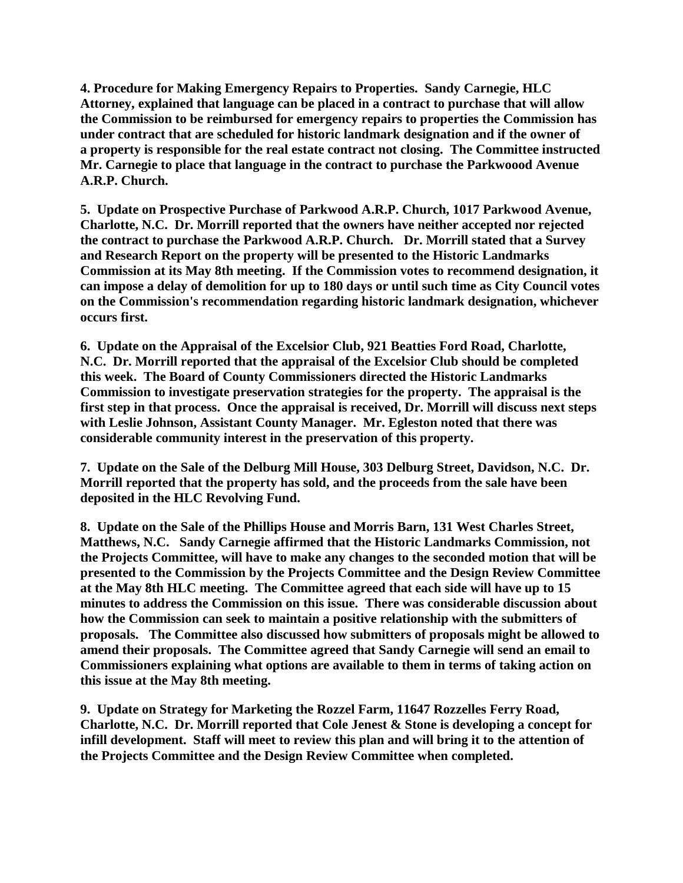**4. Procedure for Making Emergency Repairs to Properties. Sandy Carnegie, HLC Attorney, explained that language can be placed in a contract to purchase that will allow the Commission to be reimbursed for emergency repairs to properties the Commission has under contract that are scheduled for historic landmark designation and if the owner of a property is responsible for the real estate contract not closing. The Committee instructed Mr. Carnegie to place that language in the contract to purchase the Parkwoood Avenue A.R.P. Church.** 

**5. Update on Prospective Purchase of Parkwood A.R.P. Church, 1017 Parkwood Avenue, Charlotte, N.C. Dr. Morrill reported that the owners have neither accepted nor rejected the contract to purchase the Parkwood A.R.P. Church. Dr. Morrill stated that a Survey and Research Report on the property will be presented to the Historic Landmarks Commission at its May 8th meeting. If the Commission votes to recommend designation, it can impose a delay of demolition for up to 180 days or until such time as City Council votes on the Commission's recommendation regarding historic landmark designation, whichever occurs first.**

**6. Update on the Appraisal of the Excelsior Club, 921 Beatties Ford Road, Charlotte, N.C. Dr. Morrill reported that the appraisal of the Excelsior Club should be completed this week. The Board of County Commissioners directed the Historic Landmarks Commission to investigate preservation strategies for the property. The appraisal is the first step in that process. Once the appraisal is received, Dr. Morrill will discuss next steps with Leslie Johnson, Assistant County Manager. Mr. Egleston noted that there was considerable community interest in the preservation of this property.**

**7. Update on the Sale of the Delburg Mill House, 303 Delburg Street, Davidson, N.C. Dr. Morrill reported that the property has sold, and the proceeds from the sale have been deposited in the HLC Revolving Fund.**

**8. Update on the Sale of the Phillips House and Morris Barn, 131 West Charles Street, Matthews, N.C. Sandy Carnegie affirmed that the Historic Landmarks Commission, not the Projects Committee, will have to make any changes to the seconded motion that will be presented to the Commission by the Projects Committee and the Design Review Committee at the May 8th HLC meeting. The Committee agreed that each side will have up to 15 minutes to address the Commission on this issue. There was considerable discussion about how the Commission can seek to maintain a positive relationship with the submitters of proposals. The Committee also discussed how submitters of proposals might be allowed to amend their proposals. The Committee agreed that Sandy Carnegie will send an email to Commissioners explaining what options are available to them in terms of taking action on this issue at the May 8th meeting.**

**9. Update on Strategy for Marketing the Rozzel Farm, 11647 Rozzelles Ferry Road, Charlotte, N.C. Dr. Morrill reported that Cole Jenest & Stone is developing a concept for infill development. Staff will meet to review this plan and will bring it to the attention of the Projects Committee and the Design Review Committee when completed.**